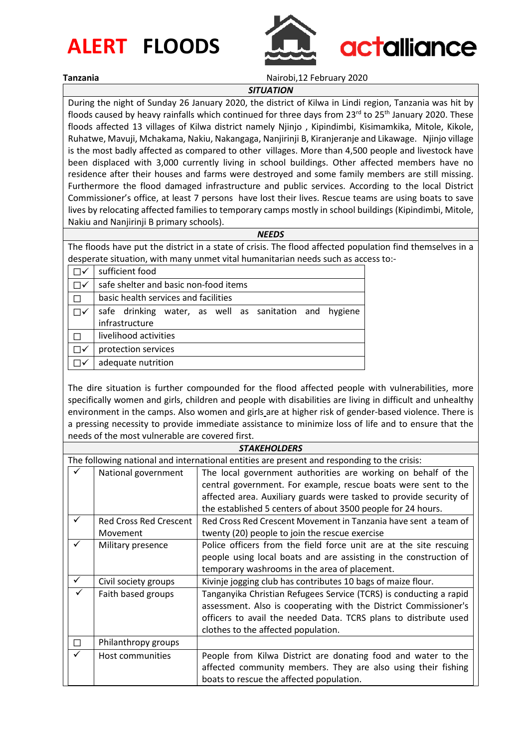# **ALERT FLOODS**



**Tanzania** Nairobi,12 February 2020

*SITUATION*

During the night of Sunday 26 January 2020, the district of Kilwa in Lindi region, Tanzania was hit by floods caused by heavy rainfalls which continued for three days from  $23^{rd}$  to  $25^{th}$  January 2020. These floods affected 13 villages of Kilwa district namely Njinjo , Kipindimbi, Kisimamkika, Mitole, Kikole, Ruhatwe, Mavuji, Mchakama, Nakiu, Nakangaga, Nanjirinji B, Kiranjeranje and Likawage. Njinjo village is the most badly affected as compared to other villages. More than 4,500 people and livestock have been displaced with 3,000 currently living in school buildings. Other affected members have no residence after their houses and farms were destroyed and some family members are still missing. Furthermore the flood damaged infrastructure and public services. According to the local District Commissioner's office, at least 7 persons have lost their lives. Rescue teams are using boats to save lives by relocating affected families to temporary camps mostly in school buildings (Kipindimbi, Mitole, Nakiu and Nanjirinji B primary schools).

### *NEEDS*

The floods have put the district in a state of crisis. The flood affected population find themselves in a desperate situation, with many unmet vital humanitarian needs such as access to:-

| sufficient food                                        |  |  |  |
|--------------------------------------------------------|--|--|--|
| safe shelter and basic non-food items                  |  |  |  |
| basic health services and facilities                   |  |  |  |
| safe drinking water, as well as sanitation and hygiene |  |  |  |
| infrastructure                                         |  |  |  |
| livelihood activities                                  |  |  |  |
| protection services                                    |  |  |  |
| adequate nutrition                                     |  |  |  |

The dire situation is further compounded for the flood affected people with vulnerabilities, more specifically women and girls, children and people with disabilities are living in difficult and unhealthy environment in the camps. Also women and girls are at higher risk of gender-based violence. There is a pressing necessity to provide immediate assistance to minimize loss of life and to ensure that the needs of the most vulnerable are covered first.

|                                                                                             | <b>STAKEHOLDERS</b>           |                                                                    |  |  |  |
|---------------------------------------------------------------------------------------------|-------------------------------|--------------------------------------------------------------------|--|--|--|
| The following national and international entities are present and responding to the crisis: |                               |                                                                    |  |  |  |
|                                                                                             | National government           | The local government authorities are working on behalf of the      |  |  |  |
|                                                                                             |                               | central government. For example, rescue boats were sent to the     |  |  |  |
|                                                                                             |                               | affected area. Auxiliary guards were tasked to provide security of |  |  |  |
|                                                                                             |                               | the established 5 centers of about 3500 people for 24 hours.       |  |  |  |
| ✓                                                                                           | <b>Red Cross Red Crescent</b> | Red Cross Red Crescent Movement in Tanzania have sent a team of    |  |  |  |
|                                                                                             | Movement                      | twenty (20) people to join the rescue exercise                     |  |  |  |
| $\checkmark$                                                                                | Military presence             | Police officers from the field force unit are at the site rescuing |  |  |  |
|                                                                                             |                               | people using local boats and are assisting in the construction of  |  |  |  |
|                                                                                             |                               | temporary washrooms in the area of placement.                      |  |  |  |
| $\checkmark$                                                                                | Civil society groups          | Kivinje jogging club has contributes 10 bags of maize flour.       |  |  |  |
|                                                                                             | Faith based groups            | Tanganyika Christian Refugees Service (TCRS) is conducting a rapid |  |  |  |
|                                                                                             |                               | assessment. Also is cooperating with the District Commissioner's   |  |  |  |
|                                                                                             |                               | officers to avail the needed Data. TCRS plans to distribute used   |  |  |  |
|                                                                                             |                               | clothes to the affected population.                                |  |  |  |
|                                                                                             | Philanthropy groups           |                                                                    |  |  |  |
| ✓                                                                                           | Host communities              | People from Kilwa District are donating food and water to the      |  |  |  |
|                                                                                             |                               | affected community members. They are also using their fishing      |  |  |  |
|                                                                                             |                               | boats to rescue the affected population.                           |  |  |  |